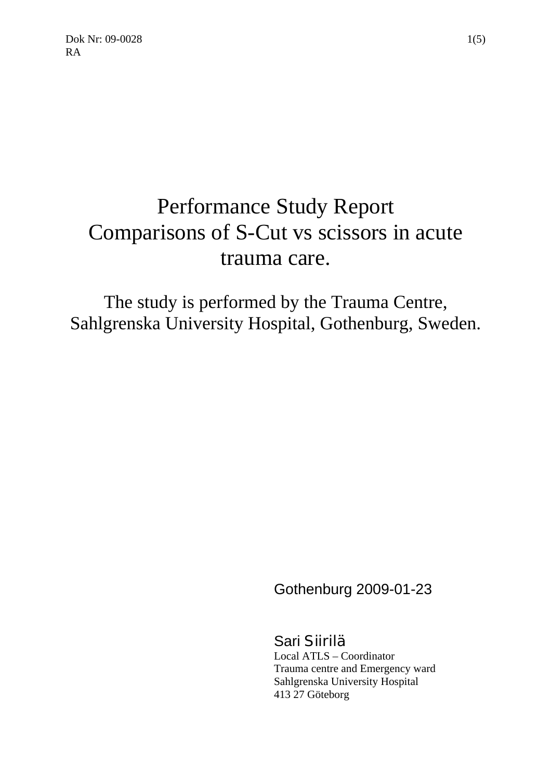$Dok Nr: 09-0028$  1(5) RA

# Performance Study Report Comparisons of S-Cut vs scissors in acute trauma care.

The study is performed by the Trauma Centre, Sahlgrenska University Hospital, Gothenburg, Sweden.

Gothenburg 2009-01-23

Sari Siirilä Local ATLS – Coordinator Trauma centre and Emergency ward Sahlgrenska University Hospital 413 27 Göteborg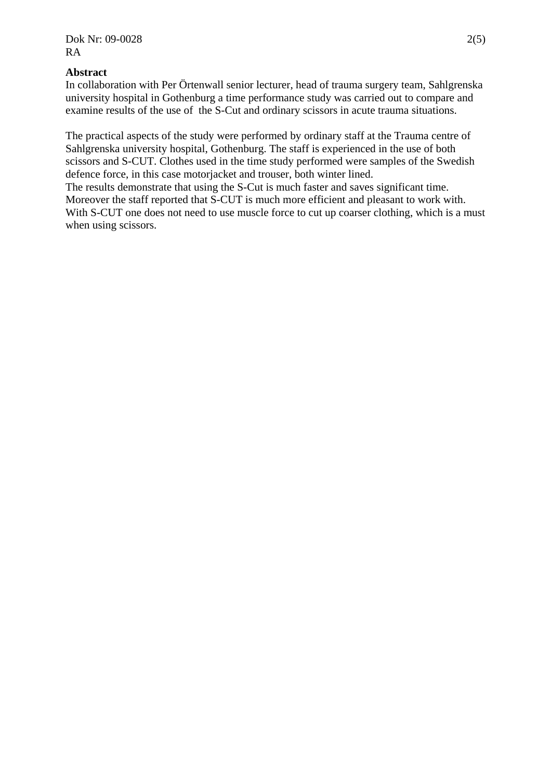# **Abstract**

In collaboration with Per Örtenwall senior lecturer, head of trauma surgery team, Sahlgrenska university hospital in Gothenburg a time performance study was carried out to compare and examine results of the use of the S-Cut and ordinary scissors in acute trauma situations.

The practical aspects of the study were performed by ordinary staff at the Trauma centre of Sahlgrenska university hospital, Gothenburg. The staff is experienced in the use of both scissors and S-CUT. Clothes used in the time study performed were samples of the Swedish defence force, in this case motorjacket and trouser, both winter lined.

The results demonstrate that using the S-Cut is much faster and saves significant time. Moreover the staff reported that S-CUT is much more efficient and pleasant to work with. With S-CUT one does not need to use muscle force to cut up coarser clothing, which is a must when using scissors.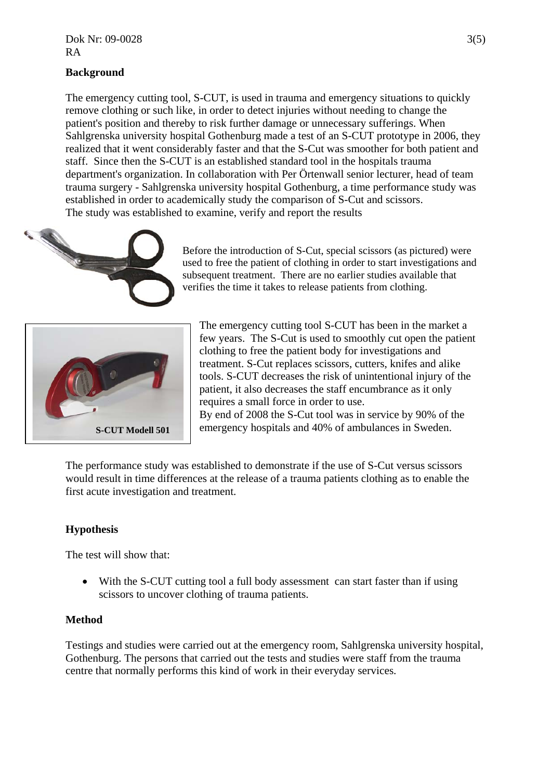# **Background**

The emergency cutting tool, S-CUT, is used in trauma and emergency situations to quickly remove clothing or such like, in order to detect injuries without needing to change the patient's position and thereby to risk further damage or unnecessary sufferings. When Sahlgrenska university hospital Gothenburg made a test of an S-CUT prototype in 2006, they realized that it went considerably faster and that the S-Cut was smoother for both patient and staff. Since then the S-CUT is an established standard tool in the hospitals trauma department's organization. In collaboration with Per Örtenwall senior lecturer, head of team trauma surgery - Sahlgrenska university hospital Gothenburg, a time performance study was established in order to academically study the comparison of S-Cut and scissors. The study was established to examine, verify and report the results



Before the introduction of S-Cut, special scissors (as pictured) were used to free the patient of clothing in order to start investigations and subsequent treatment. There are no earlier studies available that verifies the time it takes to release patients from clothing.



The emergency cutting tool S-CUT has been in the market a few years. The S-Cut is used to smoothly cut open the patient clothing to free the patient body for investigations and treatment. S-Cut replaces scissors, cutters, knifes and alike tools. S-CUT decreases the risk of unintentional injury of the patient, it also decreases the staff encumbrance as it only requires a small force in order to use. By end of 2008 the S-Cut tool was in service by 90% of the emergency hospitals and 40% of ambulances in Sweden.

The performance study was established to demonstrate if the use of S-Cut versus scissors would result in time differences at the release of a trauma patients clothing as to enable the first acute investigation and treatment.

# **Hypothesis**

The test will show that:

• With the S-CUT cutting tool a full body assessment can start faster than if using scissors to uncover clothing of trauma patients.

## **Method**

Testings and studies were carried out at the emergency room, Sahlgrenska university hospital, Gothenburg. The persons that carried out the tests and studies were staff from the trauma centre that normally performs this kind of work in their everyday services.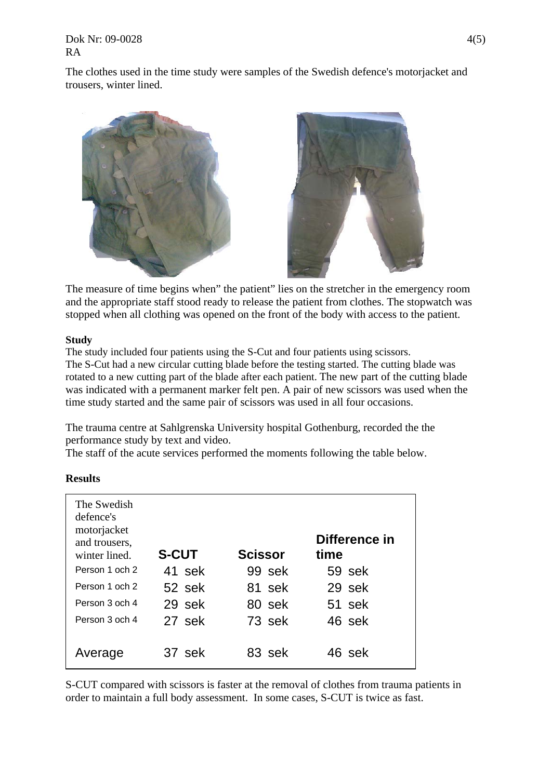Dok Nr: 09-0028 4(5) RA

The clothes used in the time study were samples of the Swedish defence's motorjacket and trousers, winter lined.



The measure of time begins when" the patient" lies on the stretcher in the emergency room and the appropriate staff stood ready to release the patient from clothes. The stopwatch was stopped when all clothing was opened on the front of the body with access to the patient.

#### **Study**

The study included four patients using the S-Cut and four patients using scissors. The S-Cut had a new circular cutting blade before the testing started. The cutting blade was rotated to a new cutting part of the blade after each patient. The new part of the cutting blade was indicated with a permanent marker felt pen. A pair of new scissors was used when the time study started and the same pair of scissors was used in all four occasions.

The trauma centre at Sahlgrenska University hospital Gothenburg, recorded the the performance study by text and video.

The staff of the acute services performed the moments following the table below.

| The Swedish<br>defence's<br>motorjacket<br>and trousers,<br>winter lined | <b>S-CUT</b> | <b>Scissor</b> | Difference in<br>time |
|--------------------------------------------------------------------------|--------------|----------------|-----------------------|
| Person 1 och 2                                                           | 41 sek       | 99 sek         | 59 sek                |
|                                                                          |              |                |                       |
| Person 1 och 2                                                           | 52 sek       | 81 sek         | 29 sek                |
| Person 3 och 4                                                           | 29 sek       | 80 sek         | 51 sek                |
| Person 3 och 4                                                           | 27 sek       | 73 sek         | 46 sek                |
| Average                                                                  | 37 sek       | 83 sek         | 46 sek                |

#### **Results**

S-CUT compared with scissors is faster at the removal of clothes from trauma patients in order to maintain a full body assessment. In some cases, S-CUT is twice as fast.